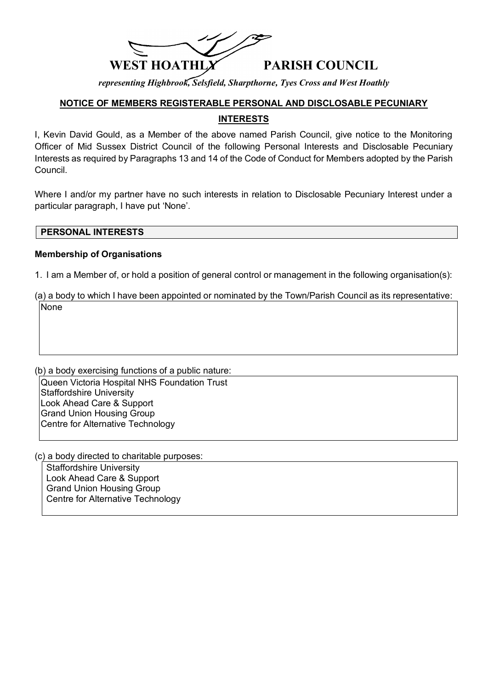

*representing Highbrook, Selsfield, Sharpthorne, Tyes Cross and West Hoathly*

# **NOTICE OF MEMBERS REGISTERABLE PERSONAL AND DISCLOSABLE PECUNIARY INTERESTS**

I, Kevin David Gould, as a Member of the above named Parish Council, give notice to the Monitoring Officer of Mid Sussex District Council of the following Personal Interests and Disclosable Pecuniary Interests as required by Paragraphs 13 and 14 of the Code of Conduct for Members adopted by the Parish Council.

Where I and/or my partner have no such interests in relation to Disclosable Pecuniary Interest under a particular paragraph, I have put 'None'.

#### **PERSONAL INTERESTS**

### **Membership of Organisations**

1. I am a Member of, or hold a position of general control or management in the following organisation(s):

(a) a body to which I have been appointed or nominated by the Town/Parish Council as its representative: None

(b) a body exercising functions of a public nature: Queen Victoria Hospital NHS Foundation Trust Staffordshire University Look Ahead Care & Support Grand Union Housing Group Centre for Alternative Technology

(c) a body directed to charitable purposes:

Staffordshire University Look Ahead Care & Support Grand Union Housing Group Centre for Alternative Technology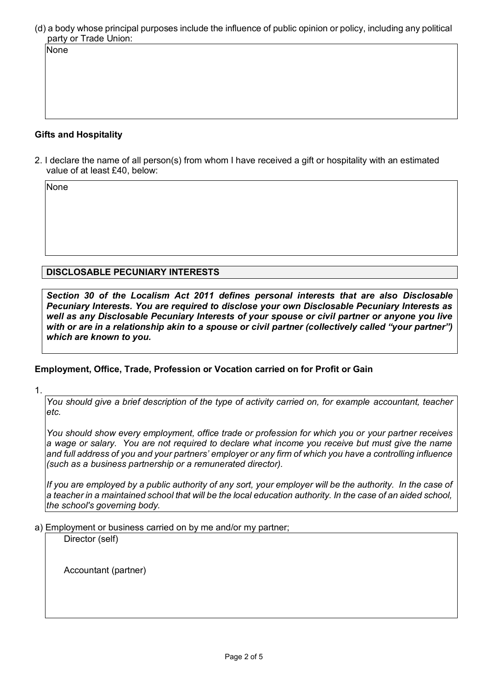(d) a body whose principal purposes include the influence of public opinion or policy, including any political party or Trade Union:

#### **Gifts and Hospitality**

2. I declare the name of all person(s) from whom I have received a gift or hospitality with an estimated value of at least £40, below:

None

None

**DISCLOSABLE PECUNIARY INTERESTS**

*Section 30 of the Localism Act 2011 defines personal interests that are also Disclosable Pecuniary Interests. You are required to disclose your own Disclosable Pecuniary Interests as well as any Disclosable Pecuniary Interests of your spouse or civil partner or anyone you live with or are in a relationship akin to a spouse or civil partner (collectively called "your partner") which are known to you.*

## **Employment, Office, Trade, Profession or Vocation carried on for Profit or Gain**

1.

*You should give a brief description of the type of activity carried on, for example accountant, teacher etc.*

*You should show every employment, office trade or profession for which you or your partner receives a wage or salary. You are not required to declare what income you receive but must give the name and full address of you and your partners' employer or any firm of which you have a controlling influence (such as a business partnership or a remunerated director).*

*If you are employed by a public authority of any sort, your employer will be the authority. In the case of a teacher in a maintained school that will be the local education authority. In the case of an aided school, the school's governing body.*

a) Employment or business carried on by me and/or my partner;

Director (self)

Accountant (partner)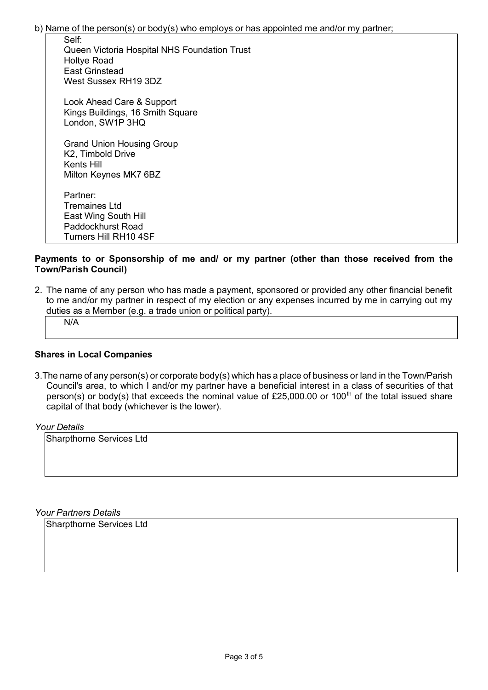b) Name of the person(s) or body(s) who employs or has appointed me and/or my partner;

| әеіг:<br>Queen Victoria Hospital NHS Foundation Trust<br><b>Holtye Road</b><br><b>East Grinstead</b> |
|------------------------------------------------------------------------------------------------------|
| West Sussex RH19 3DZ                                                                                 |
| Look Ahead Care & Support<br>Kings Buildings, 16 Smith Square<br>London, SW1P 3HQ                    |
| <b>Grand Union Housing Group</b><br>K2, Timbold Drive<br>Kents Hill<br>Milton Keynes MK7 6BZ         |
| Partner:<br>Tremaines Ltd                                                                            |
| East Wing South Hill<br>Paddockhurst Road                                                            |
| Turners Hill RH10 4SF                                                                                |
|                                                                                                      |

#### **Payments to or Sponsorship of me and/ or my partner (other than those received from the Town/Parish Council)**

2. The name of any person who has made a payment, sponsored or provided any other financial benefit to me and/or my partner in respect of my election or any expenses incurred by me in carrying out my duties as a Member (e.g. a trade union or political party).

N/A

 $\overline{\mathbf{S}}$ 

#### **Shares in Local Companies**

3.The name of any person(s) or corporate body(s) which has a place of business or land in the Town/Parish Council's area, to which I and/or my partner have a beneficial interest in a class of securities of that person(s) or body(s) that exceeds the nominal value of £25,000.00 or 100<sup>th</sup> of the total issued share capital of that body (whichever is the lower).

#### *Your Details*

Sharpthorne Services Ltd

*Your Partners Details*

Sharpthorne Services Ltd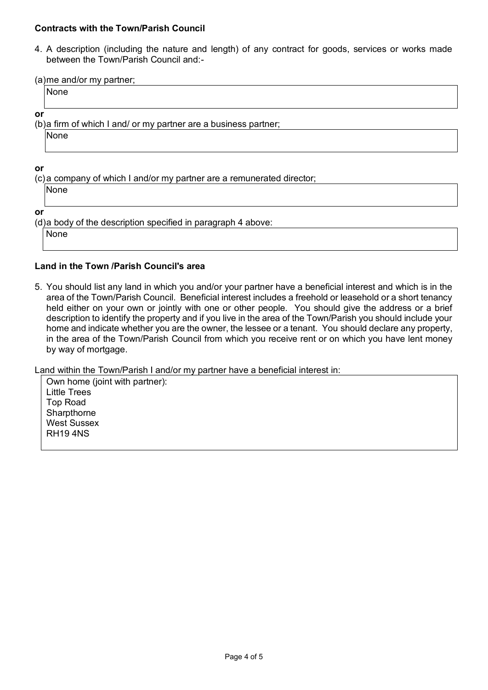### **Contracts with the Town/Parish Council**

4. A description (including the nature and length) of any contract for goods, services or works made between the Town/Parish Council and:-

(a)me and/or my partner;

None

**or** 

(b)a firm of which I and/ or my partner are a business partner;

None

**or**

(c)a company of which I and/or my partner are a remunerated director;

None

**or**

(d)a body of the description specified in paragraph 4 above:

None

## **Land in the Town /Parish Council's area**

5. You should list any land in which you and/or your partner have a beneficial interest and which is in the area of the Town/Parish Council. Beneficial interest includes a freehold or leasehold or a short tenancy held either on your own or jointly with one or other people. You should give the address or a brief description to identify the property and if you live in the area of the Town/Parish you should include your home and indicate whether you are the owner, the lessee or a tenant. You should declare any property, in the area of the Town/Parish Council from which you receive rent or on which you have lent money by way of mortgage.

Land within the Town/Parish I and/or my partner have a beneficial interest in:

Own home (joint with partner): Little Trees Top Road Sharpthorne West Sussex RH19 4NS